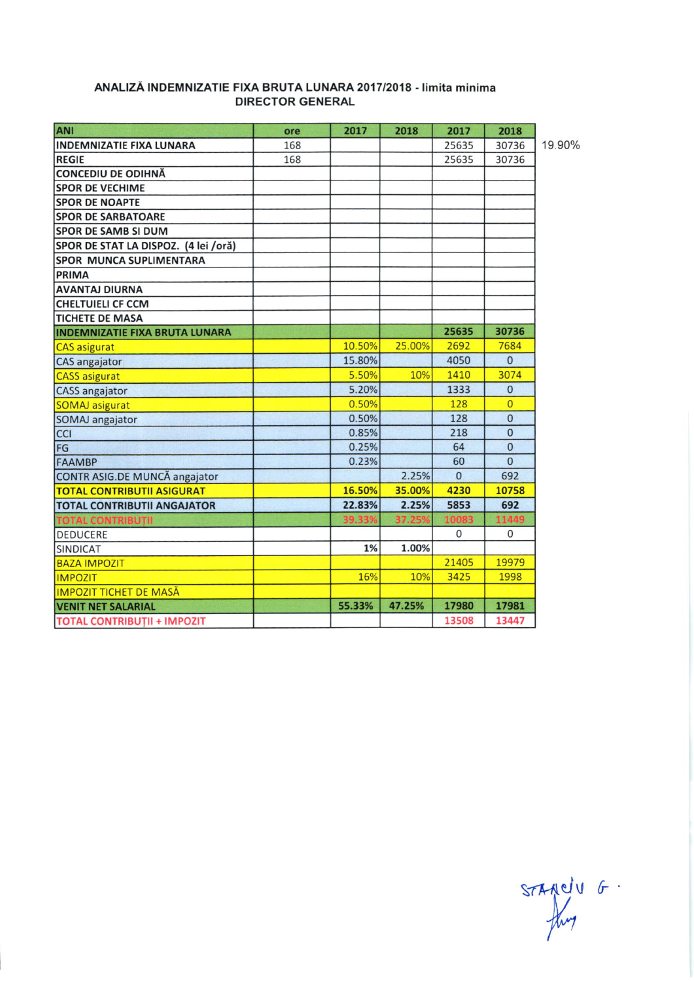| ANI                                   | ore | 2017   | 2018   | 2017     | 2018           |        |
|---------------------------------------|-----|--------|--------|----------|----------------|--------|
| <b>INDEMNIZATIE FIXA LUNARA</b>       | 168 |        |        | 25635    | 30736          | 19.90% |
| <b>REGIE</b>                          | 168 |        |        | 25635    | 30736          |        |
| <b>CONCEDIU DE ODIHNĂ</b>             |     |        |        |          |                |        |
| <b>SPOR DE VECHIME</b>                |     |        |        |          |                |        |
| <b>SPOR DE NOAPTE</b>                 |     |        |        |          |                |        |
| <b>SPOR DE SARBATOARE</b>             |     |        |        |          |                |        |
| <b>SPOR DE SAMB SI DUM</b>            |     |        |        |          |                |        |
| SPOR DE STAT LA DISPOZ. (4 lei /oră)  |     |        |        |          |                |        |
| <b>SPOR MUNCA SUPLIMENTARA</b>        |     |        |        |          |                |        |
| PRIMA                                 |     |        |        |          |                |        |
| <b>AVANTAJ DIURNA</b>                 |     |        |        |          |                |        |
| <b>CHELTUIELI CF CCM</b>              |     |        |        |          |                |        |
| <b>TICHETE DE MASA</b>                |     |        |        |          |                |        |
| <b>INDEMNIZATIE FIXA BRUTA LUNARA</b> |     |        |        | 25635    | 30736          |        |
| <b>CAS</b> asigurat                   |     | 10.50% | 25.00% | 2692     | 7684           |        |
| CAS angajator                         |     | 15.80% |        | 4050     | $\mathbf{0}$   |        |
| <b>CASS</b> asigurat                  |     | 5.50%  | 10%    | 1410     | 3074           |        |
| CASS angajator                        |     | 5.20%  |        | 1333     | $\mathbf{0}$   |        |
| <b>SOMAJ</b> asigurat                 |     | 0.50%  |        | 128      | $\overline{0}$ |        |
| SOMAJ angajator                       |     | 0.50%  |        | 128      | $\overline{0}$ |        |
| <b>CCI</b>                            |     | 0.85%  |        | 218      | $\Omega$       |        |
| FG                                    |     | 0.25%  |        | 64       | $\mathbf{0}$   |        |
| <b>FAAMBP</b>                         |     | 0.23%  |        | 60       | $\overline{0}$ |        |
| CONTR ASIG.DE MUNCĂ angajator         |     |        | 2.25%  | $\Omega$ | 692            |        |
| <b>TOTAL CONTRIBUTII ASIGURAT</b>     |     | 16.50% | 35.00% | 4230     | 10758          |        |
| <b>TOTAL CONTRIBUTII ANGAJATOR</b>    |     | 22.83% | 2.25%  | 5853     | 692            |        |
| <b>TOTAL CONTRIBUTII</b>              |     | 39.339 | 37.259 | 10083    | 11449          |        |
| <b>DEDUCERE</b>                       |     |        |        | 0        | 0              |        |
| <b>SINDICAT</b>                       |     | 1%     | 1.00%  |          |                |        |
| <b>BAZA IMPOZIT</b>                   |     |        |        | 21405    | 19979          |        |
| <b>IMPOZIT</b>                        |     | 16%    | 10%    | 3425     | 1998           |        |
| <b>IMPOZIT TICHET DE MASĂ</b>         |     |        |        |          |                |        |
| <b>VENIT NET SALARIAL</b>             |     | 55.33% | 47.25% | 17980    | 17981          |        |
| <b>TOTAL CONTRIBUTII + IMPOZIT</b>    |     |        |        | 13508    | 13447          |        |

## ANALIZĂ INDEMNIZATIE FIXA BRUTA LUNARA 2017/2018 - limita minima **DIRECTOR GENERAL**

STAMELU G.